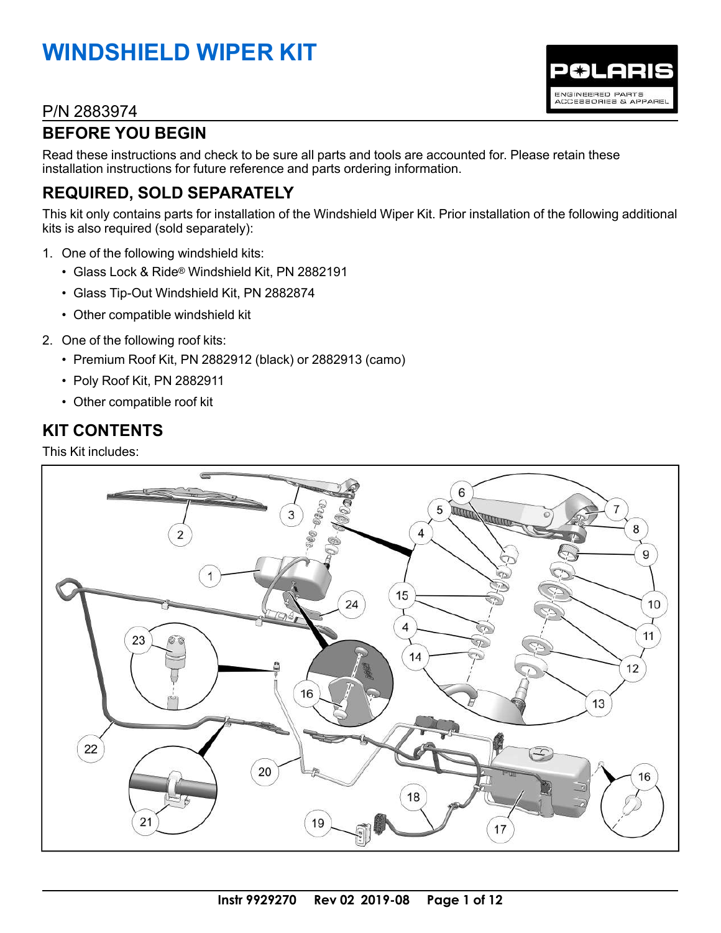# **WINDSHIELD WIPER KIT**

### P/N 2883974

# **BEFORE YOU BEGIN**

Read these instructions and check to be sure all parts and tools are accounted for. Please retain these installation instructions for future reference and parts ordering information.

# **REQUIRED, SOLD SEPARATELY**

This kit only contains parts for installation of the Windshield Wiper Kit. Prior installation of the following additional kits is also required (sold separately):

POLARIS

ENGINEERED PARTS<br>ACCESSORIES & APPAREL

- 1. One of the following windshield kits:
	- Glass Lock & Ride® Windshield Kit, PN 2882191
	- Glass Tip-Out Windshield Kit, PN 2882874
	- Other compatible windshield kit
- 2. One of the following roof kits:
	- Premium Roof Kit, PN 2882912 (black) or 2882913 (camo)
	- Poly Roof Kit, PN 2882911
	- Other compatible roof kit

## **KIT CONTENTS**

This Kit includes:

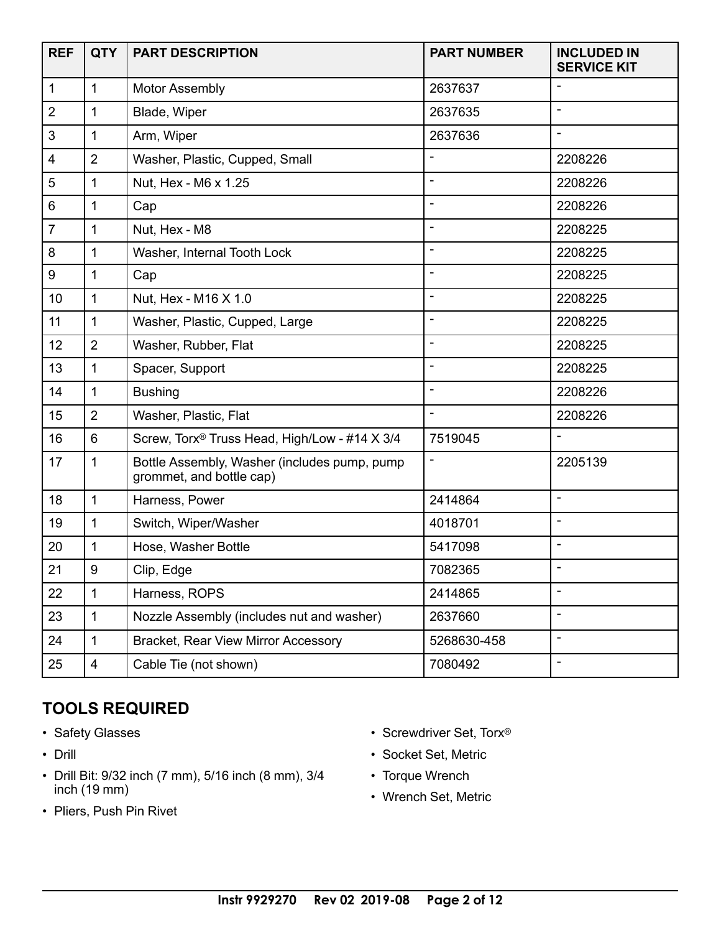| <b>REF</b>     | <b>QTY</b>     | <b>PART DESCRIPTION</b>                                                  | <b>PART NUMBER</b>       | <b>INCLUDED IN</b><br><b>SERVICE KIT</b> |
|----------------|----------------|--------------------------------------------------------------------------|--------------------------|------------------------------------------|
| 1              | $\mathbf{1}$   | <b>Motor Assembly</b>                                                    | 2637637                  |                                          |
| $\overline{2}$ | 1              | Blade, Wiper                                                             | 2637635                  |                                          |
| 3              | $\mathbf{1}$   | Arm, Wiper                                                               | 2637636                  | $\blacksquare$                           |
| 4              | $\overline{2}$ | Washer, Plastic, Cupped, Small                                           | ÷,                       | 2208226                                  |
| 5              | 1              | Nut, Hex - M6 x 1.25                                                     |                          | 2208226                                  |
| 6              | 1              | Cap                                                                      |                          | 2208226                                  |
| $\overline{7}$ | $\mathbf{1}$   | Nut, Hex - M8                                                            | $\overline{\phantom{a}}$ | 2208225                                  |
| 8              | 1              | Washer, Internal Tooth Lock                                              | $\overline{\phantom{a}}$ | 2208225                                  |
| 9              | 1              | Cap                                                                      |                          | 2208225                                  |
| 10             | $\mathbf{1}$   | Nut, Hex - M16 X 1.0                                                     | $\overline{\phantom{a}}$ | 2208225                                  |
| 11             | $\mathbf{1}$   | Washer, Plastic, Cupped, Large                                           | $\blacksquare$           | 2208225                                  |
| 12             | $\overline{2}$ | Washer, Rubber, Flat                                                     | $\blacksquare$           | 2208225                                  |
| 13             | $\mathbf 1$    | Spacer, Support                                                          | $\overline{\phantom{a}}$ | 2208225                                  |
| 14             | 1              | <b>Bushing</b>                                                           | $\overline{\phantom{a}}$ | 2208226                                  |
| 15             | $\overline{2}$ | Washer, Plastic, Flat                                                    |                          | 2208226                                  |
| 16             | 6              | Screw, Torx <sup>®</sup> Truss Head, High/Low - #14 X 3/4                | 7519045                  |                                          |
| 17             | $\mathbf{1}$   | Bottle Assembly, Washer (includes pump, pump<br>grommet, and bottle cap) | $\overline{\phantom{a}}$ | 2205139                                  |
| 18             | $\mathbf{1}$   | Harness, Power                                                           | 2414864                  | $\overline{\phantom{a}}$                 |
| 19             | 1              | Switch, Wiper/Washer                                                     | 4018701                  |                                          |
| 20             | 1              | Hose, Washer Bottle                                                      | 5417098                  | $\overline{\phantom{a}}$                 |
| 21             | 9              | Clip, Edge                                                               | 7082365                  |                                          |
| 22             | 1              | Harness, ROPS                                                            | 2414865                  | ÷                                        |
| 23             | $\mathbf{1}$   | Nozzle Assembly (includes nut and washer)                                | 2637660                  | $\overline{\phantom{a}}$                 |
| 24             | $\mathbf{1}$   | <b>Bracket, Rear View Mirror Accessory</b>                               | 5268630-458              | $\overline{\phantom{a}}$                 |
| 25             | 4              | Cable Tie (not shown)                                                    | 7080492                  | $\overline{\phantom{a}}$                 |

# **TOOLS REQUIRED**

- Safety Glasses
- Drill
- Drill Bit: 9/32 inch (7 mm), 5/16 inch (8 mm), 3/4 inch (19 mm)
- Pliers, Push Pin Rivet
- Screwdriver Set, Torx®
- Socket Set, Metric
- Torque Wrench
- Wrench Set, Metric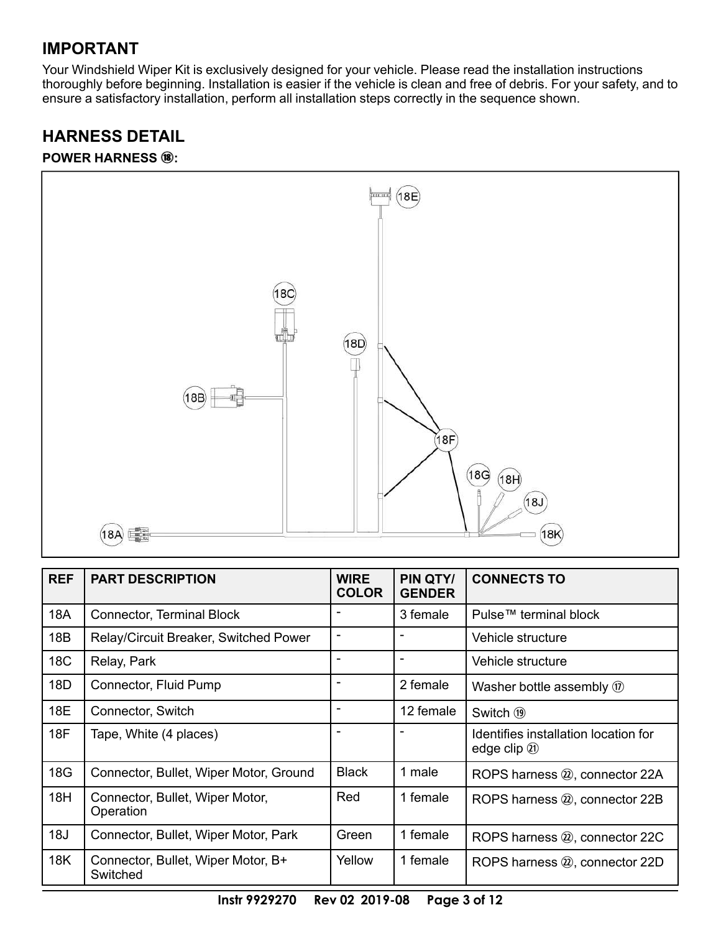### **IMPORTANT**

Your Windshield Wiper Kit is exclusively designed for your vehicle. Please read the installation instructions thoroughly before beginning. Installation is easier if the vehicle is clean and free of debris. For your safety, and to ensure a satisfactory installation, perform all installation steps correctly in the sequence shown.

# **HARNESS DETAIL**

#### **POWER HARNESS**  $\circledast$ **:**



| <b>REF</b> | <b>PART DESCRIPTION</b>                        | <b>WIRE</b><br><b>COLOR</b> | PIN QTY/<br><b>GENDER</b> | <b>CONNECTS TO</b>                                      |
|------------|------------------------------------------------|-----------------------------|---------------------------|---------------------------------------------------------|
| 18A        | Connector, Terminal Block                      |                             | 3 female                  | Pulse™ terminal block                                   |
| 18B        | Relay/Circuit Breaker, Switched Power          |                             |                           | Vehicle structure                                       |
| 18C        | Relay, Park                                    | $\overline{\phantom{a}}$    | $\overline{\phantom{a}}$  | Vehicle structure                                       |
| 18D        | Connector, Fluid Pump                          |                             | 2 female                  | Washer bottle assembly $\omega$                         |
| 18E        | Connector, Switch                              |                             | 12 female                 | Switch (19)                                             |
| 18F        | Tape, White (4 places)                         |                             |                           | Identifies installation location for<br>edge clip $(1)$ |
| 18G        | Connector, Bullet, Wiper Motor, Ground         | <b>Black</b>                | 1 male                    | ROPS harness 2, connector 22A                           |
| 18H        | Connector, Bullet, Wiper Motor,<br>Operation   | Red                         | 1 female                  | ROPS harness 20, connector 22B                          |
| 18J        | Connector, Bullet, Wiper Motor, Park           | Green                       | 1 female                  | ROPS harness 2, connector 22C                           |
| 18K        | Connector, Bullet, Wiper Motor, B+<br>Switched | Yellow                      | 1 female                  | ROPS harness 2, connector 22D                           |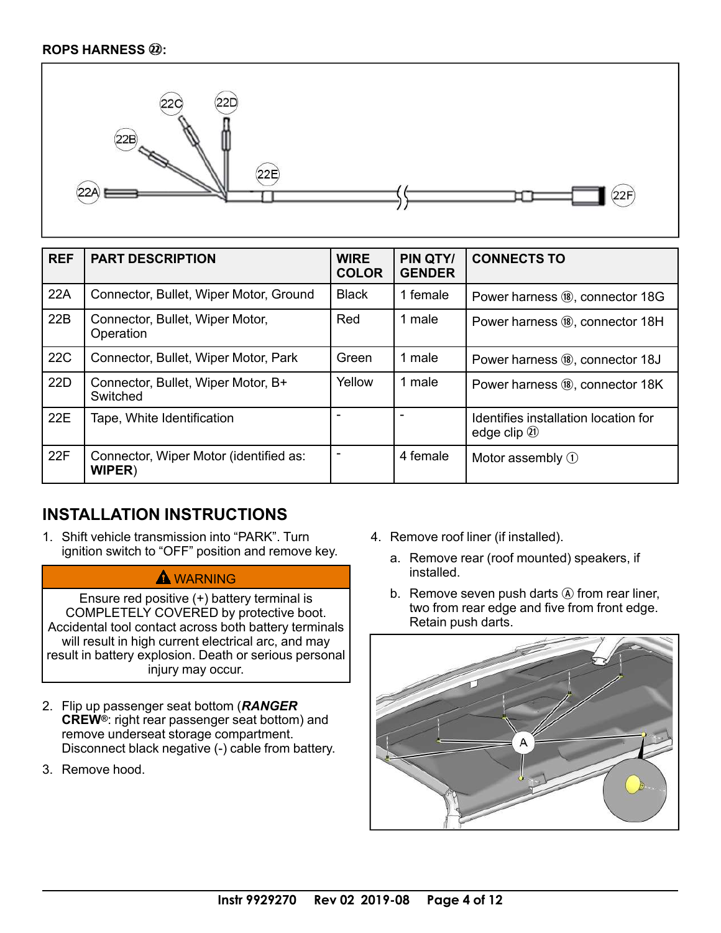#### **ROPS HARNESS** 2@**:**



| <b>REF</b> | <b>PART DESCRIPTION</b>                                 | <b>WIRE</b><br><b>COLOR</b> | PIN QTY/<br><b>GENDER</b> | <b>CONNECTS TO</b>                                      |
|------------|---------------------------------------------------------|-----------------------------|---------------------------|---------------------------------------------------------|
| 22A        | Connector, Bullet, Wiper Motor, Ground                  | <b>Black</b>                | 1 female                  | Power harness ®, connector 18G                          |
| 22B        | Connector, Bullet, Wiper Motor,<br>Operation            | Red                         | male                      | Power harness (8), connector 18H                        |
| 22C        | Connector, Bullet, Wiper Motor, Park                    | Green                       | 1 male                    | Power harness (8), connector 18J                        |
| 22D        | Connector, Bullet, Wiper Motor, B+<br>Switched          | Yellow                      | 1 male                    | Power harness ®, connector 18K                          |
| 22E        | Tape, White Identification                              |                             |                           | Identifies installation location for<br>edge clip $(1)$ |
| 22F        | Connector, Wiper Motor (identified as:<br><b>WIPER)</b> |                             | 4 female                  | Motor assembly $(1)$                                    |

## **INSTALLATION INSTRUCTIONS**

1. Shift vehicle transmission into "PARK". Turn ignition switch to "OFF" position and remove key.

#### **A**WARNING

Ensure red positive (+) battery terminal is COMPLETELY COVERED by protective boot. Accidental tool contact across both battery terminals will result in high current electrical arc, and may result in battery explosion. Death or serious personal injury may occur.

- 2. Flip up passenger seat bottom (*RANGER* **CREW®**: right rear passenger seat bottom) and remove underseat storage compartment. Disconnect black negative (-) cable from battery.
- 3. Remove hood.
- 4. Remove roof liner (if installed).
	- a. Remove rear (roof mounted) speakers, if installed.
	- b. Remove seven push darts  $\ddot{A}$  from rear liner, two from rear edge and five from front edge. Retain push darts.

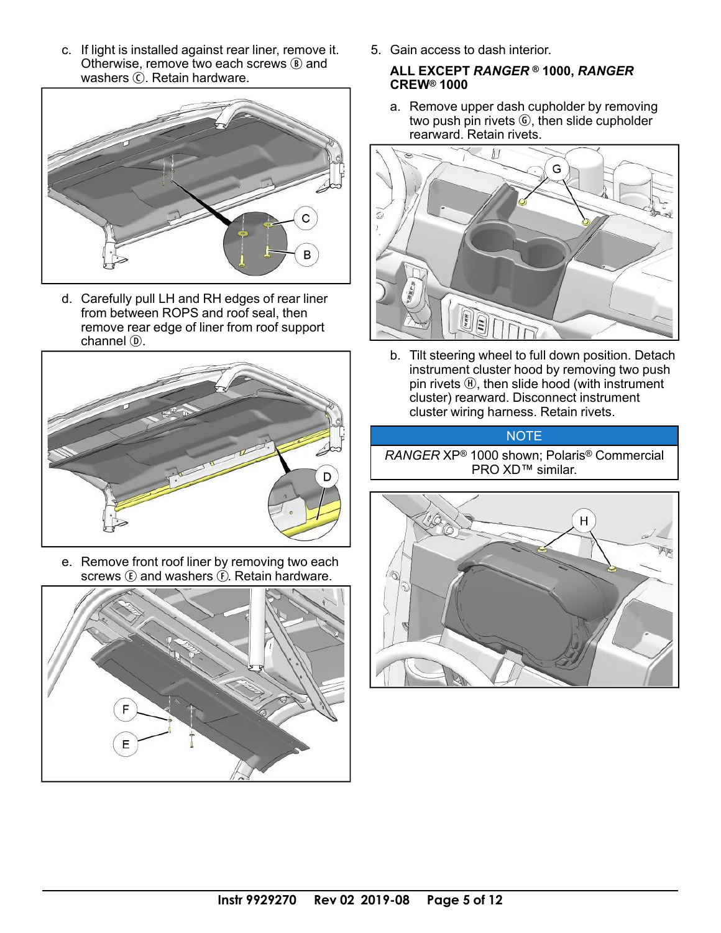c. If light is installed against rear liner, remove it. Otherwise, remove two each screws  $\circledR$  and washers  $\odot$ . Retain hardware.



d. Carefully pull LH and RH edges of rear liner from between ROPS and roof seal, then remove rear edge of liner from roof support channel <sub>(D</sub>).



e. Remove front roof liner by removing two each screws  $\mathbb E$  and washers  $\widehat{\mathbb E}$ . Retain hardware.



5. Gain access to dash interior.

#### **ALL EXCEPT** *RANGER* **® 1000,** *RANGER* **CREW® 1000**

a. Remove upper dash cupholder by removing two push pin rivets *C*, then slide cupholder rearward. Retain rivets.



b. Tilt steering wheel to full down position. Detach instrument cluster hood by removing two push pin rivets  $H$ , then slide hood (with instrument cluster) rearward. Disconnect instrument cluster wiring harness. Retain rivets.

#### **NOTE**

*RANGER* XP® 1000 shown; Polaris® Commercial PRO XD™ similar.

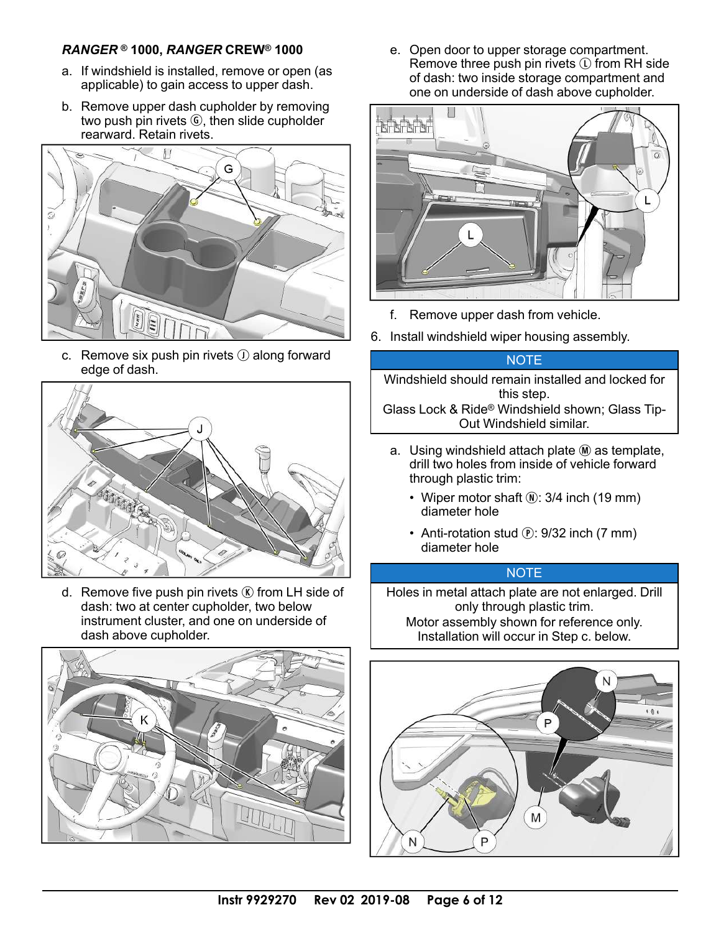#### *RANGER* **® 1000,** *RANGER* **CREW® 1000**

- a. If windshield is installed, remove or open (as applicable) to gain access to upper dash.
- b. Remove upper dash cupholder by removing two push pin rivets *G*, then slide cupholder rearward. Retain rivets.

![](_page_5_Picture_3.jpeg)

c. Remove six push pin rivets  $\odot$  along forward edge of dash.

![](_page_5_Picture_5.jpeg)

d. Remove five push pin rivets  $\mathbb{\mathbb{R}}$  from LH side of dash: two at center cupholder, two below instrument cluster, and one on underside of dash above cupholder.

![](_page_5_Picture_7.jpeg)

e. Open door to upper storage compartment. Remove three push pin rivets  $\mathbb O$  from RH side of dash: two inside storage compartment and one on underside of dash above cupholder.

![](_page_5_Figure_9.jpeg)

- f. Remove upper dash from vehicle.
- 6. Install windshield wiper housing assembly.

#### **NOTE**

Windshield should remain installed and locked for this step. Glass Lock & Ride® Windshield shown; Glass Tip-Out Windshield similar.

- a. Using windshield attach plate  $M$  as template, drill two holes from inside of vehicle forward through plastic trim:
	- Wiper motor shaft  $\mathbb{Q}$ : 3/4 inch (19 mm) diameter hole
	- Anti-rotation stud  $(P: 9/32$  inch  $(7 \text{ mm})$ diameter hole

#### **NOTE**

Holes in metal attach plate are not enlarged. Drill only through plastic trim. Motor assembly shown for reference only. Installation will occur in Step c. below.

![](_page_5_Picture_19.jpeg)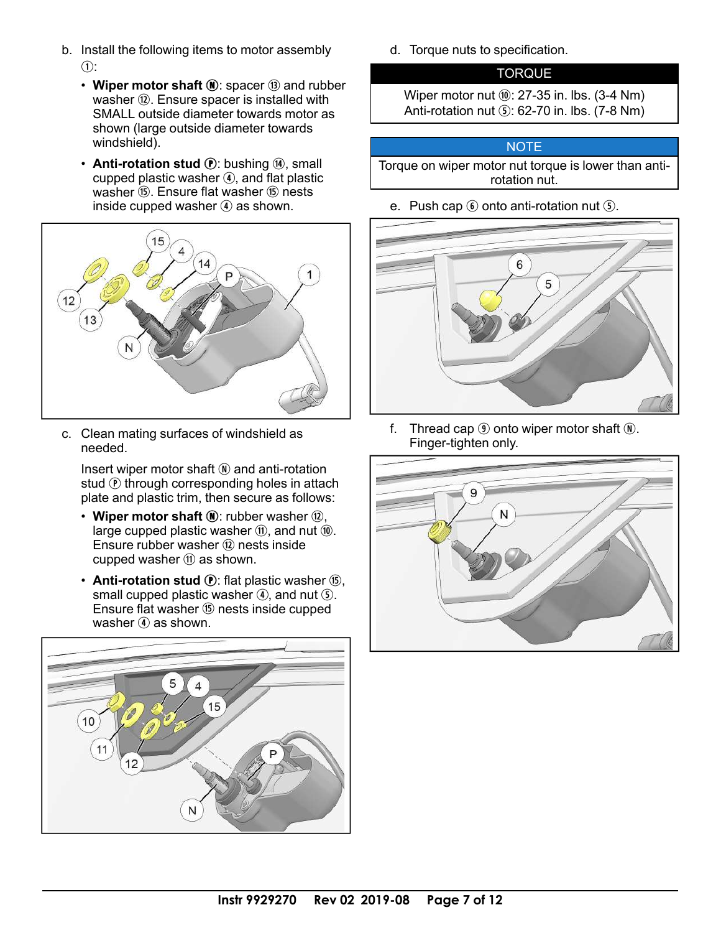- b. Install the following items to motor assembly  $\Omega$ :
	- Wiper motor shaft  $\left( \mathbf{N}\right)$ : spacer  $\left( \mathbf{\overline{3}}\right)$  and rubber washer  $(2)$ . Ensure spacer is installed with SMALL outside diameter towards motor as shown (large outside diameter towards windshield).
	- **Anti-rotation stud (P**: bushing (4), small cupped plastic washer  $\Phi$ , and flat plastic washer (6). Ensure flat washer (6) nests inside cupped washer  $\left( \mathbf{\Phi} \right)$  as shown.

![](_page_6_Figure_3.jpeg)

c. Clean mating surfaces of windshield as needed.

Insert wiper motor shaft  $\mathbb{N}$  and anti-rotation stud  $\odot$  through corresponding holes in attach plate and plastic trim, then secure as follows:

- Wiper motor shaft  $\mathbf{0}$ : rubber washer  $\mathbf{0}$ , large cupped plastic washer  $(1)$ , and nut  $(1)$ . Ensure rubber washer @ nests inside cupped washer  $(n)$  as shown.
- **Anti-rotation stud (P**): flat plastic washer (6), small cupped plastic washer  $\Phi$ , and nut  $\Phi$ . Ensure flat washer (6) nests inside cupped washer  $\Phi$  as shown.

![](_page_6_Picture_8.jpeg)

d. Torque nuts to specification.

#### **TORQUE**

Wiper motor nut  $@$ : 27-35 in. lbs. (3-4 Nm) Anti-rotation nut  $\circ$ : 62-70 in. lbs. (7-8 Nm)

#### NOTE

Torque on wiper motor nut torque is lower than antirotation nut.

e. Push cap  $\odot$  onto anti-rotation nut  $\odot$ .

![](_page_6_Picture_15.jpeg)

f. Thread cap  $\circled{9}$  onto wiper motor shaft  $\circled{N}$ . Finger-tighten only.

![](_page_6_Figure_17.jpeg)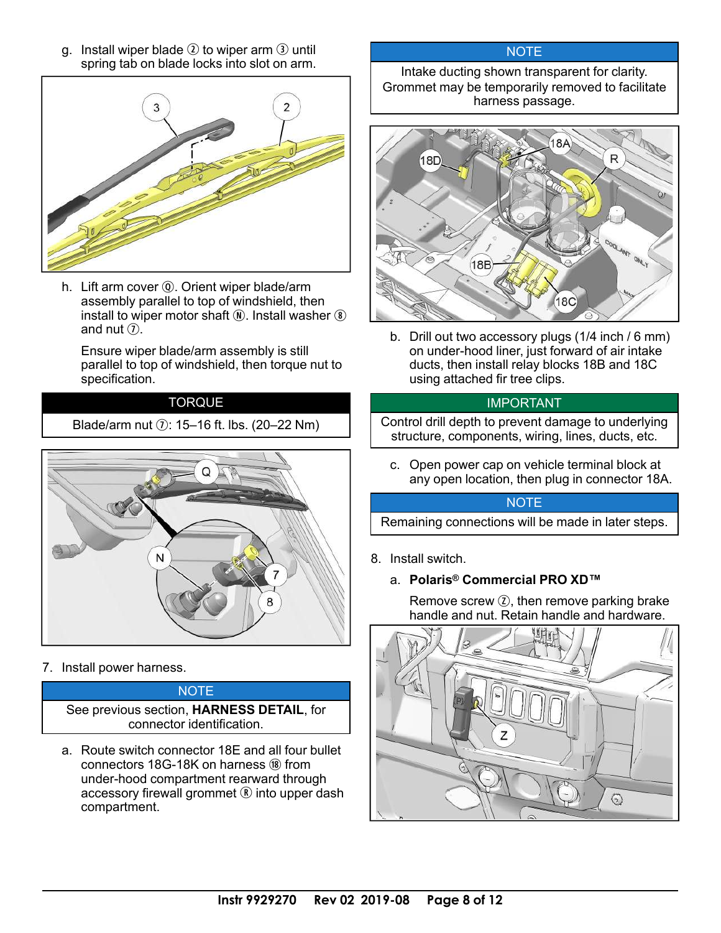q. Install wiper blade  $\Omega$  to wiper arm  $\Omega$  until spring tab on blade locks into slot on arm.

![](_page_7_Picture_1.jpeg)

h. Lift arm cover **Q**. Orient wiper blade/arm assembly parallel to top of windshield, then install to wiper motor shaft  $\hat{N}$ . Install washer  $\hat{N}$ and nut  $\Omega$ .

Ensure wiper blade/arm assembly is still parallel to top of windshield, then torque nut to specification.

#### **TORQUE**

Blade/arm nut  $\hat{v}$ : 15–16 ft. lbs. (20–22 Nm)

![](_page_7_Picture_6.jpeg)

7. Install power harness.

**NOTE** See previous section, **HARNESS DETAIL**, for connector identification.

a. Route switch connector 18E and all four bullet connectors  $18G-18K$  on harness  $\omega$  from under-hood compartment rearward through accessory firewall grommet  $\mathbb R$  into upper dash compartment.

#### **NOTE**

Intake ducting shown transparent for clarity. Grommet may be temporarily removed to facilitate harness passage.

![](_page_7_Picture_12.jpeg)

b. Drill out two accessory plugs (1/4 inch / 6 mm) on under-hood liner, just forward of air intake ducts, then install relay blocks 18B and 18C using attached fir tree clips.

#### IMPORTANT

Control drill depth to prevent damage to underlying structure, components, wiring, lines, ducts, etc.

c. Open power cap on vehicle terminal block at any open location, then plug in connector 18A.

#### **NOTE**

Remaining connections will be made in later steps.

- 8. Install switch.
	- a. **Polaris® Commercial PRO XD™**

Remove screw  $\mathcal{D}$ , then remove parking brake handle and nut. Retain handle and hardware.

![](_page_7_Picture_22.jpeg)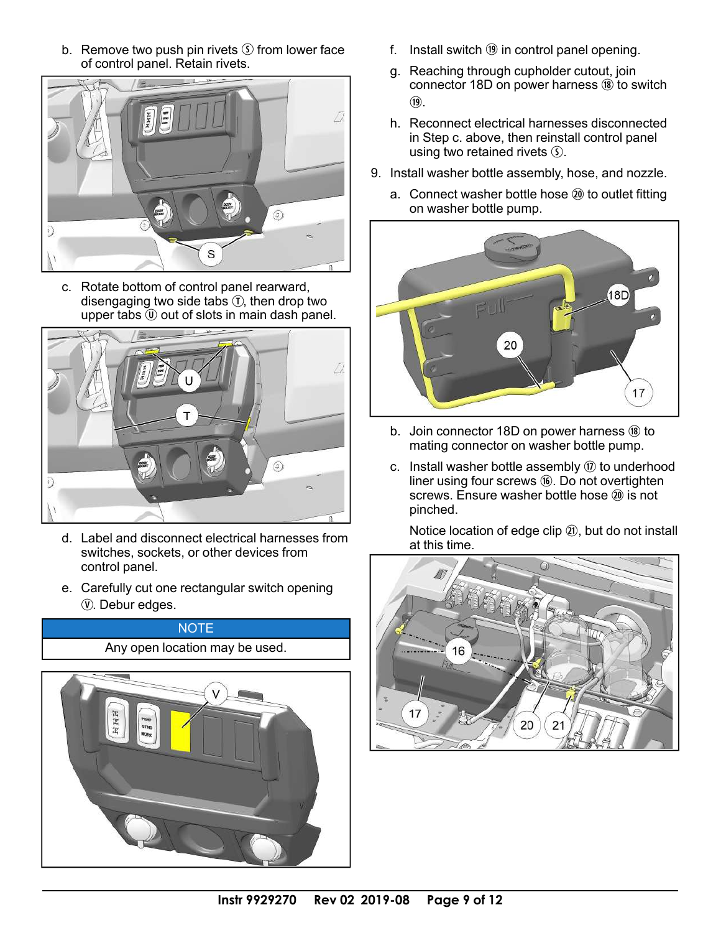b. Remove two push pin rivets  $\circ$  from lower face of control panel. Retain rivets.

![](_page_8_Picture_1.jpeg)

c. Rotate bottom of control panel rearward, disengaging two side tabs  $\overline{I}$ , then drop two upper tabs  $\overline{0}$  out of slots in main dash panel.

![](_page_8_Picture_3.jpeg)

- d. Label and disconnect electrical harnesses from switches, sockets, or other devices from control panel.
- e. Carefully cut one rectangular switch opening V. Debur edges.

![](_page_8_Picture_6.jpeg)

- f. Install switch  $(9)$  in control panel opening.
- g. Reaching through cupholder cutout, join connector 18D on power harness  $\omega$  to switch  $(19)$ .
- h. Reconnect electrical harnesses disconnected in Step c. above, then reinstall control panel using two retained rivets  $\circled{S}$ .
- 9. Install washer bottle assembly, hose, and nozzle.
	- a. Connect washer bottle hose @ to outlet fitting on washer bottle pump.

![](_page_8_Picture_12.jpeg)

- b. Join connector 18D on power harness  $(8)$  to mating connector on washer bottle pump.
- c. Install washer bottle assembly  $\circledR$  to underhood liner using four screws  $@.$  Do not overtighten screws. Ensure washer bottle hose  $\omega$  is not pinched.

Notice location of edge clip  $(2)$ , but do not install at this time.

![](_page_8_Figure_16.jpeg)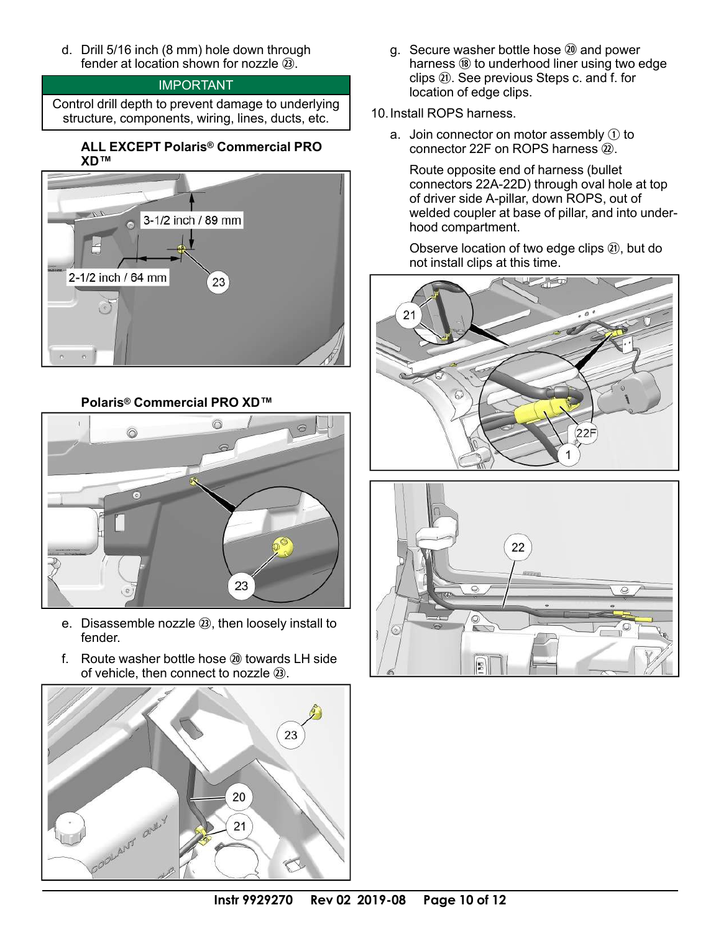d. Drill 5/16 inch (8 mm) hole down through fender at location shown for nozzle  $(3)$ .

#### IMPORTANT

Control drill depth to prevent damage to underlying structure, components, wiring, lines, ducts, etc.

#### **ALL EXCEPT Polaris® Commercial PRO XD™**

![](_page_9_Figure_4.jpeg)

**Polaris® Commercial PRO XD™**

![](_page_9_Picture_6.jpeg)

- e. Disassemble nozzle  $(3)$ , then loosely install to fender.
- f. Route washer bottle hose  $\omega$  towards LH side of vehicle, then connect to nozzle  $(2)$ .

![](_page_9_Picture_9.jpeg)

- g. Secure washer bottle hose 20 and power harness  $\omega$  to underhood liner using two edge clips  $(1)$ . See previous Steps c. and f. for location of edge clips.
- 10.Install ROPS harness.
	- a. Join connector on motor assembly  $\odot$  to connector 22F on ROPS harness  $(2)$ .

Route opposite end of harness (bullet connectors 22A-22D) through oval hole at top of driver side A-pillar, down ROPS, out of welded coupler at base of pillar, and into underhood compartment.

Observe location of two edge clips  $(1)$ , but do not install clips at this time.

![](_page_9_Picture_15.jpeg)

![](_page_9_Picture_16.jpeg)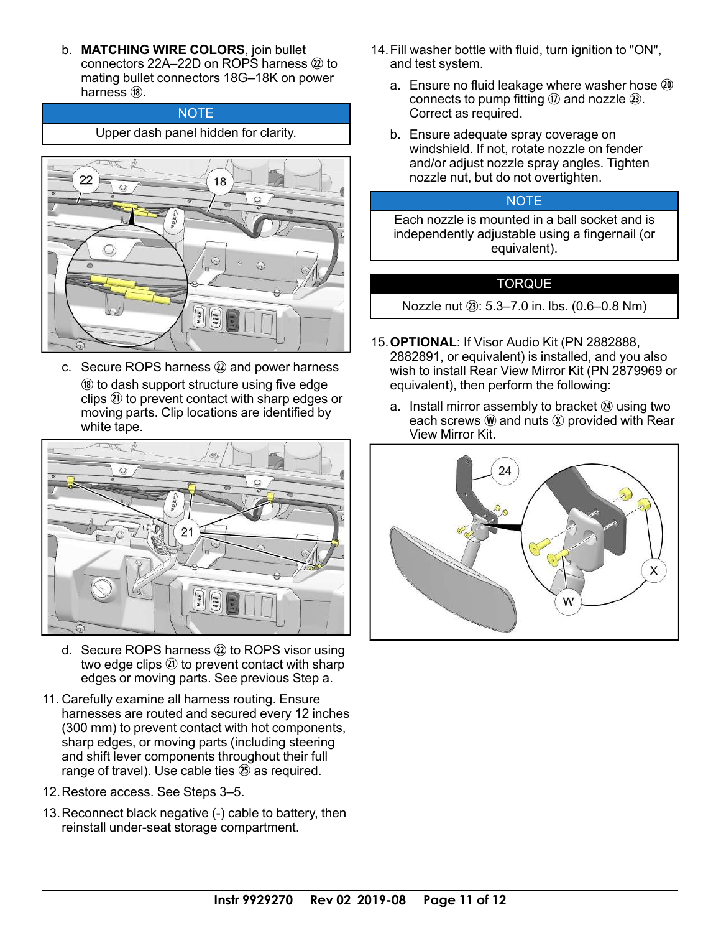b. **MATCHING WIRE COLORS**, join bullet connectors 22A–22D on ROPS harness  $(2)$  to mating bullet connectors 18G–18K on power harness  $(8)$ .

#### **NOTE** Upper dash panel hidden for clarity.

![](_page_10_Picture_2.jpeg)

c. Secure ROPS harness  $@$  and power harness <sup>(8)</sup> to dash support structure using five edge clips  $(2)$  to prevent contact with sharp edges or moving parts. Clip locations are identified by white tape.

![](_page_10_Picture_4.jpeg)

- d. Secure ROPS harness  $(2)$  to ROPS visor using two edge clips  $(2)$  to prevent contact with sharp edges or moving parts. See previous Step a.
- 11. Carefully examine all harness routing. Ensure harnesses are routed and secured every 12 inches (300 mm) to prevent contact with hot components, sharp edges, or moving parts (including steering and shift lever components throughout their full range of travel). Use cable ties  $\circledB$  as required.
- 12.Restore access. See Steps 3–5.
- 13.Reconnect black negative (-) cable to battery, then reinstall under-seat storage compartment.
- 14.Fill washer bottle with fluid, turn ignition to "ON", and test system.
	- a. Ensure no fluid leakage where washer hose  $\omega$ connects to pump fitting  $\omega$  and nozzle  $\omega$ . Correct as required.
	- b. Ensure adequate spray coverage on windshield. If not, rotate nozzle on fender and/or adjust nozzle spray angles. Tighten nozzle nut, but do not overtighten.

#### **NOTE**

Each nozzle is mounted in a ball socket and is independently adjustable using a fingernail (or equivalent).

#### TORQUE

Nozzle nut 2: 5.3–7.0 in. lbs. (0.6–0.8 Nm)

- 15.**OPTIONAL**: If Visor Audio Kit (PN 2882888, 2882891, or equivalent) is installed, and you also wish to install Rear View Mirror Kit (PN 2879969 or equivalent), then perform the following:
	- a. Install mirror assembly to bracket  $(4)$  using two each screws  $\mathcal{W}$  and nuts  $\mathcal{X}$  provided with Rear View Mirror Kit.

![](_page_10_Picture_18.jpeg)